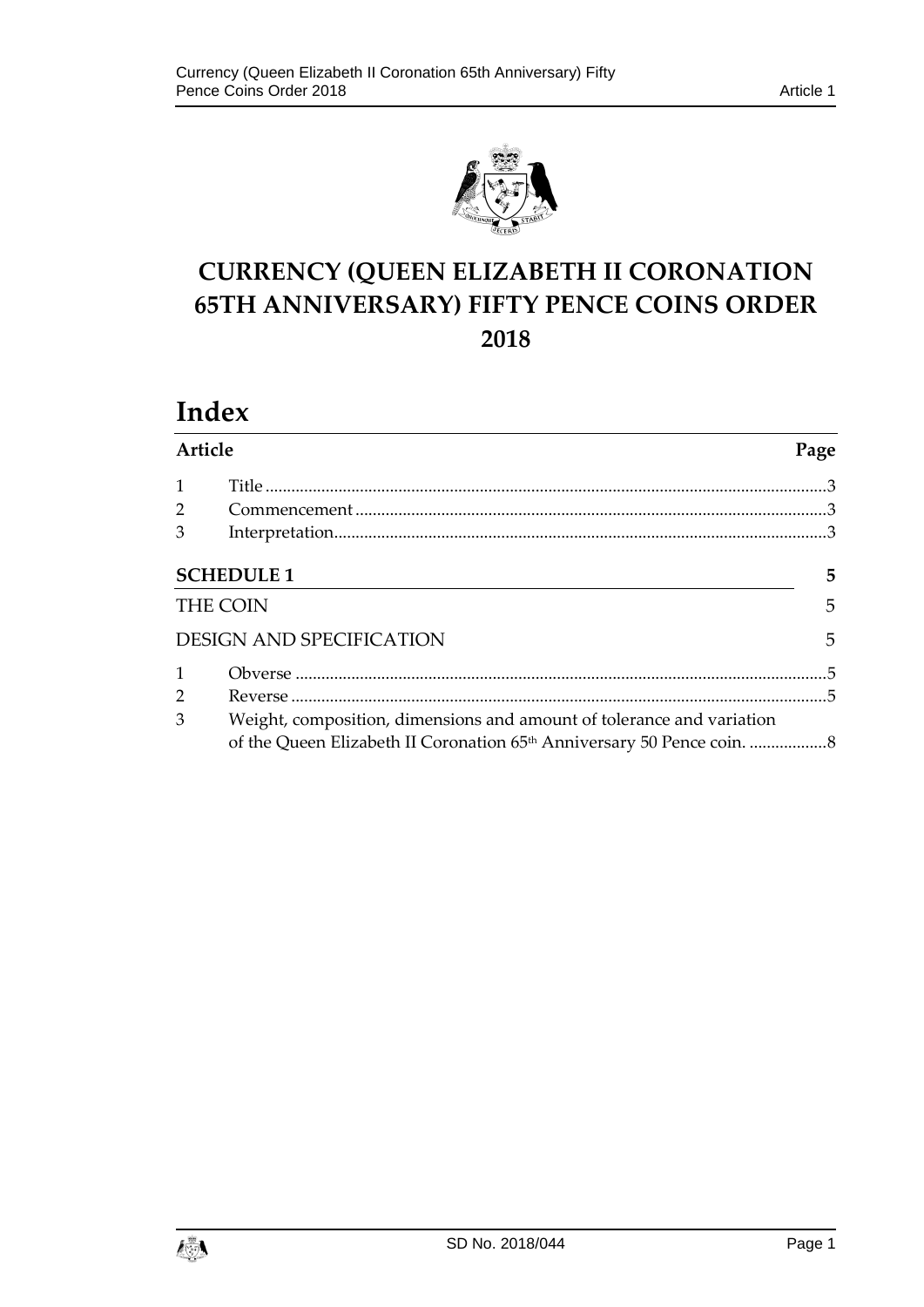

# **CURRENCY (QUEEN ELIZABETH II CORONATION 65TH ANNIVERSARY) FIFTY PENCE COINS ORDER 2018**

# **Index**

| Article        |                                                                       |   |
|----------------|-----------------------------------------------------------------------|---|
| $\mathbf{1}$   |                                                                       |   |
| $\overline{2}$ |                                                                       |   |
| 3              |                                                                       |   |
|                | <b>SCHEDULE 1</b>                                                     | 5 |
|                | <b>THE COIN</b>                                                       | 5 |
|                | <b>DESIGN AND SPECIFICATION</b>                                       | 5 |
| $\mathbf{1}$   |                                                                       |   |
| $\overline{2}$ |                                                                       |   |
| 3              | Weight, composition, dimensions and amount of tolerance and variation |   |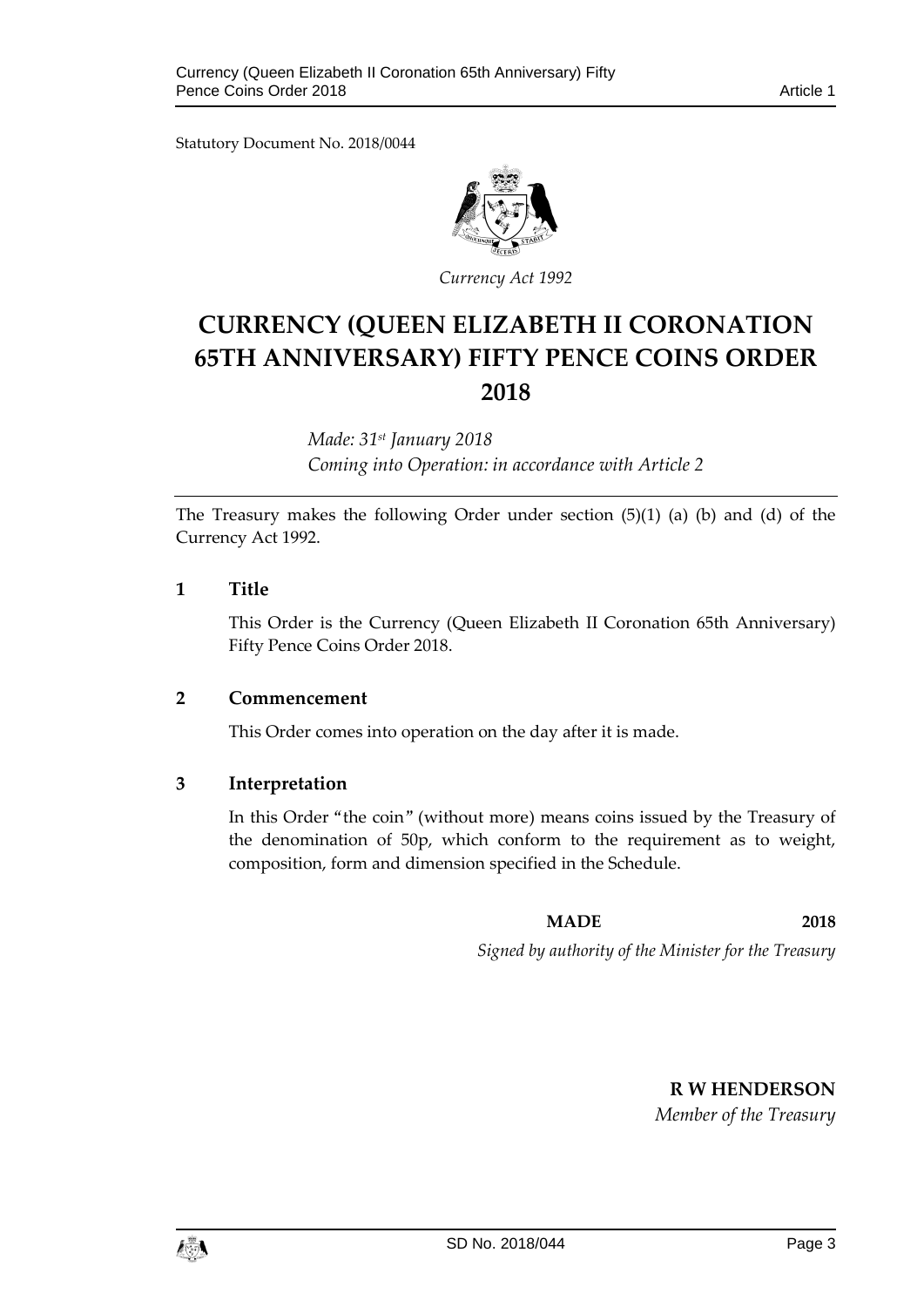Statutory Document No. 2018/0044



*Currency Act 1992*

# **CURRENCY (QUEEN ELIZABETH II CORONATION 65TH ANNIVERSARY) FIFTY PENCE COINS ORDER 2018**

*Made: 31st January 2018 Coming into Operation: in accordance with Article 2*

The Treasury makes the following Order under section (5)(1) (a) (b) and (d) of the Currency Act 1992.

# <span id="page-2-0"></span>**1 Title**

This Order is the Currency (Queen Elizabeth II Coronation 65th Anniversary) Fifty Pence Coins Order 2018.

# <span id="page-2-1"></span>**2 Commencement**

This Order comes into operation on the day after it is made.

# <span id="page-2-2"></span>**3 Interpretation**

In this Order "the coin" (without more) means coins issued by the Treasury of the denomination of 50p, which conform to the requirement as to weight, composition, form and dimension specified in the Schedule.

**MADE 2018**

*Signed by authority of the Minister for the Treasury*

**R W HENDERSON**

*Member of the Treasury*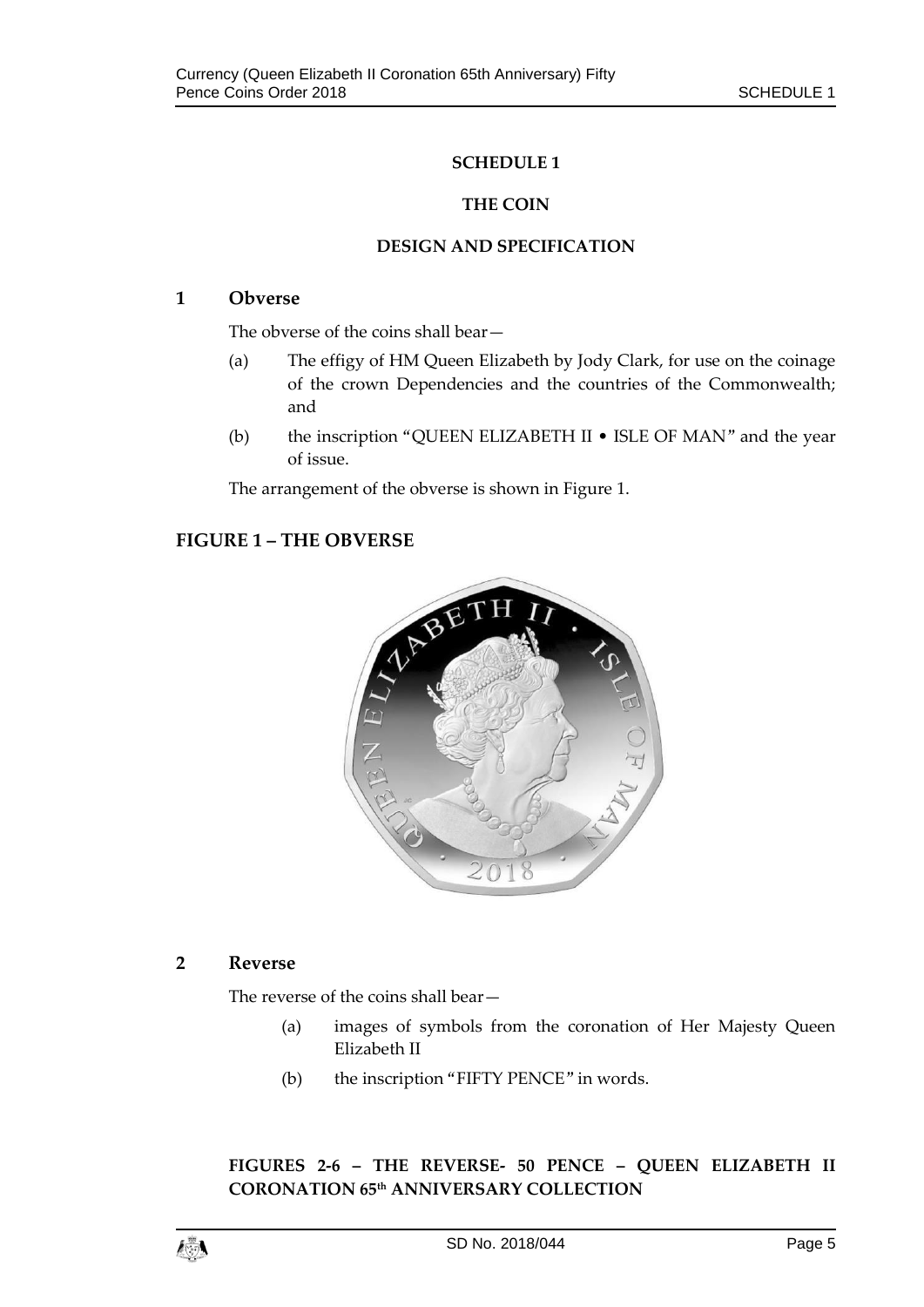# **SCHEDULE 1**

### **THE COIN**

#### **DESIGN AND SPECIFICATION**

### <span id="page-4-3"></span><span id="page-4-2"></span><span id="page-4-1"></span><span id="page-4-0"></span>**1 Obverse**

The obverse of the coins shall bear—

- (a) The effigy of HM Queen Elizabeth by Jody Clark, for use on the coinage of the crown Dependencies and the countries of the Commonwealth; and
- (b) the inscription "QUEEN ELIZABETH II ISLE OF MAN" and the year of issue.

The arrangement of the obverse is shown in Figure 1.

# **FIGURE 1 – THE OBVERSE**



# <span id="page-4-4"></span>**2 Reverse**

The reverse of the coins shall bear—

- (a) images of symbols from the coronation of Her Majesty Queen Elizabeth II
- (b) the inscription "FIFTY PENCE" in words.

**FIGURES 2-6 – THE REVERSE- 50 PENCE – QUEEN ELIZABETH II CORONATION 65th ANNIVERSARY COLLECTION**

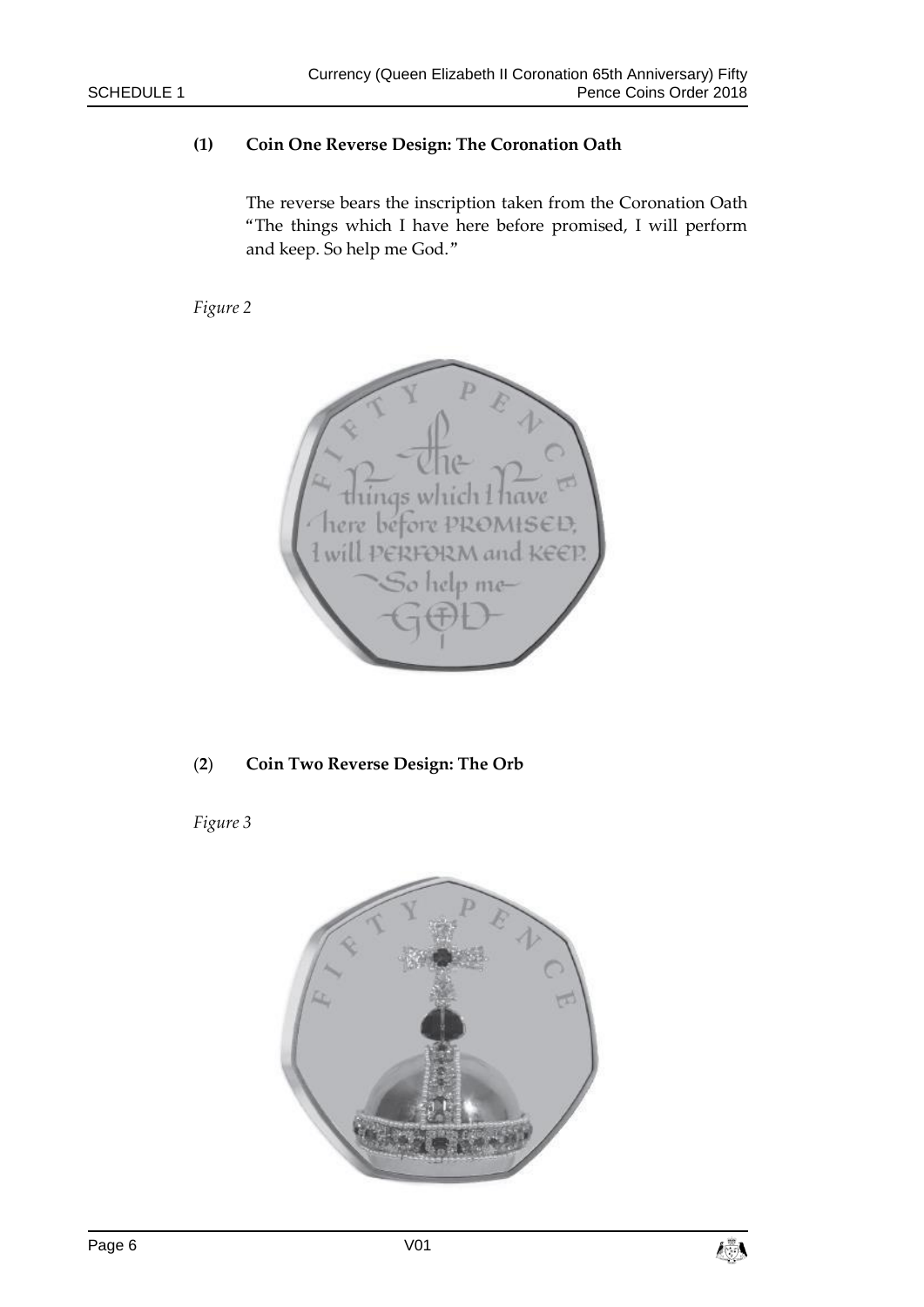# **(1) Coin One Reverse Design: The Coronation Oath**

The reverse bears the inscription taken from the Coronation Oath "The things which I have here before promised, I will perform and keep. So help me God."

*Figure 2*



# (**2**) **Coin Two Reverse Design: The Orb**

*Figure 3*



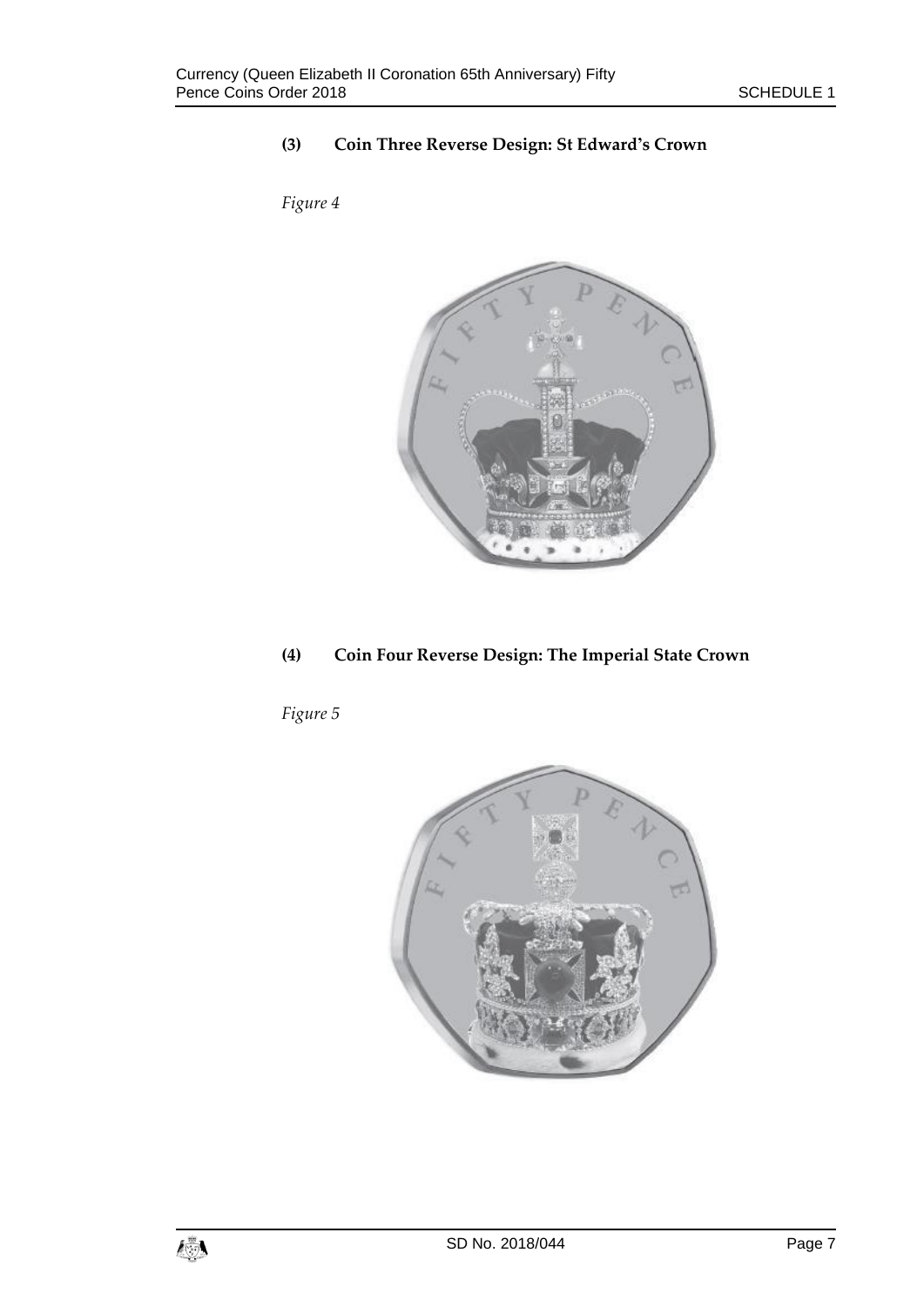# **(3) Coin Three Reverse Design: St Edward's Crown**

*Figure 4*





*Figure 5*